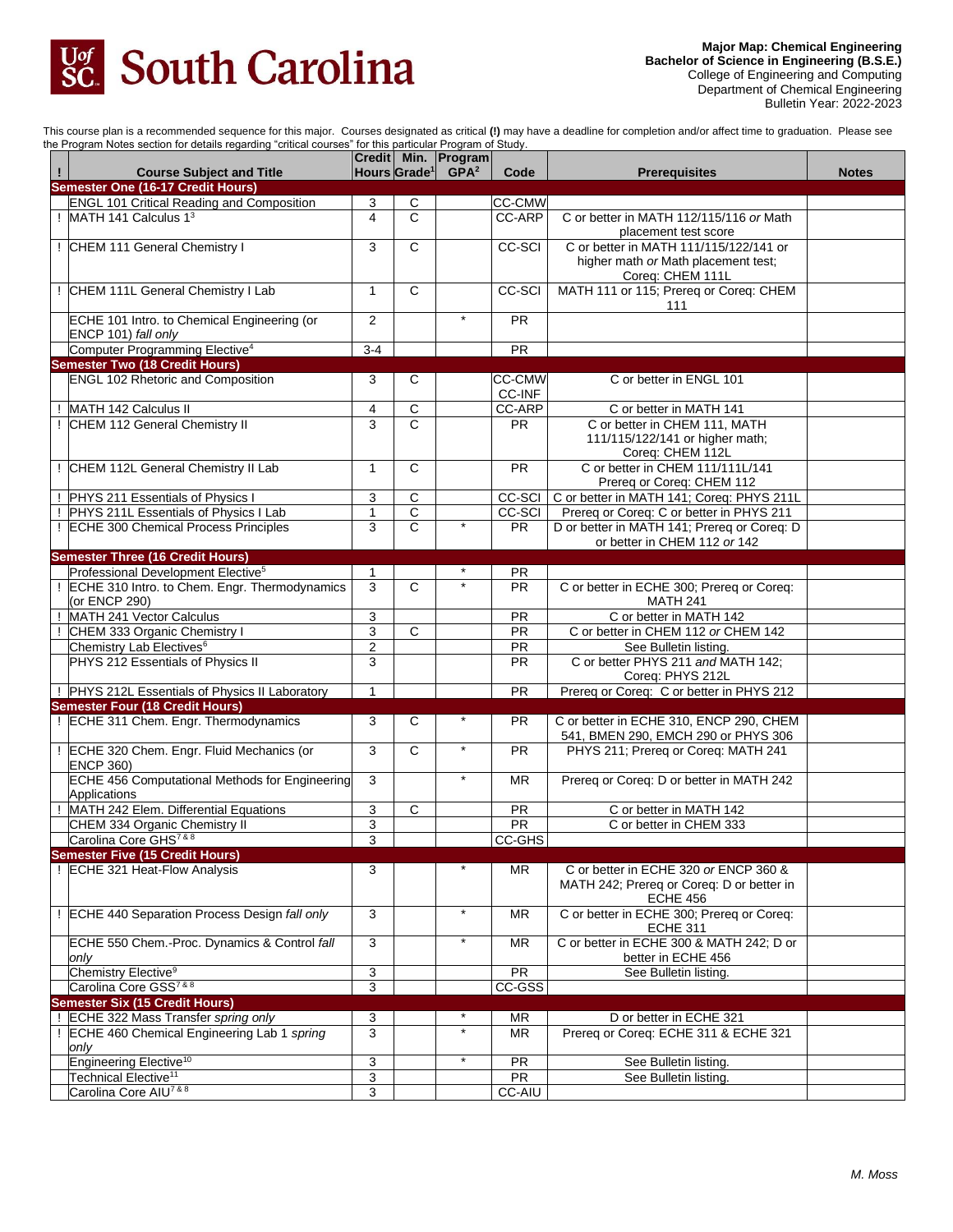

This course plan is a recommended sequence for this major. Courses designated as critical **(!)** may have a deadline for completion and/or affect time to graduation. Please see the Program Notes section for details regarding "critical courses" for this particular Program of Study.

| $\mathbf{I}$ | on rogram notoo oootion ior adtailo rogaramg "ontioal ooaroo"<br><b>Course Subject and Title</b> |                |                              | Credit Min. Program<br>Hours Grade <sup>1</sup> GPA <sup>2</sup> | Code          | <b>Prerequisites</b>                                           | <b>Notes</b> |
|--------------|--------------------------------------------------------------------------------------------------|----------------|------------------------------|------------------------------------------------------------------|---------------|----------------------------------------------------------------|--------------|
|              | <b>Semester One (16-17 Credit Hours)</b>                                                         |                |                              |                                                                  |               |                                                                |              |
|              | <b>ENGL 101 Critical Reading and Composition</b>                                                 | 3              | С                            |                                                                  | <b>CC-CMW</b> |                                                                |              |
|              | MATH 141 Calculus 1 <sup>3</sup>                                                                 | $\overline{4}$ | C                            |                                                                  | CC-ARP        | C or better in MATH 112/115/116 or Math                        |              |
|              | ! CHEM 111 General Chemistry I                                                                   | 3              | $\overline{\mathsf{c}}$      |                                                                  | <b>CC-SCI</b> | placement test score<br>C or better in MATH 111/115/122/141 or |              |
|              |                                                                                                  |                |                              |                                                                  |               | higher math or Math placement test;                            |              |
|              |                                                                                                  |                |                              |                                                                  |               | Coreq: CHEM 111L                                               |              |
|              | CHEM 111L General Chemistry I Lab                                                                | $\mathbf{1}$   | $\overline{c}$               |                                                                  | CC-SCI        | MATH 111 or 115; Prereq or Coreq: CHEM                         |              |
|              |                                                                                                  |                |                              |                                                                  |               | 111                                                            |              |
|              | ECHE 101 Intro. to Chemical Engineering (or                                                      | $\overline{2}$ |                              | $\star$                                                          | <b>PR</b>     |                                                                |              |
|              | ENCP 101) fall only                                                                              |                |                              |                                                                  |               |                                                                |              |
|              | Computer Programming Elective <sup>4</sup>                                                       | $3-4$          |                              |                                                                  | <b>PR</b>     |                                                                |              |
|              | <b>Semester Two (18 Credit Hours)</b>                                                            |                |                              |                                                                  |               |                                                                |              |
|              | <b>ENGL 102 Rhetoric and Composition</b>                                                         | 3              | C                            |                                                                  | <b>CC-CMW</b> | C or better in ENGL 101                                        |              |
|              |                                                                                                  |                |                              |                                                                  | CC-INF        |                                                                |              |
|              | MATH 142 Calculus II                                                                             | 4              | С                            |                                                                  | <b>CC-ARP</b> | C or better in MATH 141                                        |              |
|              | CHEM 112 General Chemistry II                                                                    | 3              | C                            |                                                                  | <b>PR</b>     | C or better in CHEM 111, MATH                                  |              |
|              |                                                                                                  |                |                              |                                                                  |               | 111/115/122/141 or higher math;                                |              |
|              |                                                                                                  |                |                              |                                                                  |               | Coreq: CHEM 112L                                               |              |
|              | CHEM 112L General Chemistry II Lab                                                               | $\mathbf{1}$   | $\mathbf C$                  |                                                                  | <b>PR</b>     | C or better in CHEM 111/111L/141                               |              |
|              |                                                                                                  |                |                              |                                                                  |               | Prereq or Coreq: CHEM 112                                      |              |
|              | PHYS 211 Essentials of Physics I                                                                 | 3              | С                            |                                                                  | CC-SCI        | C or better in MATH 141; Coreq: PHYS 211L                      |              |
|              | PHYS 211L Essentials of Physics I Lab                                                            | 1              | С<br>$\overline{\mathsf{c}}$ | $\star$                                                          | <b>CC-SCI</b> | Prereq or Coreq: C or better in PHYS 211                       |              |
| Ţ            | <b>ECHE 300 Chemical Process Principles</b>                                                      | 3              |                              |                                                                  | <b>PR</b>     | D or better in MATH 141; Prereq or Coreq: D                    |              |
|              |                                                                                                  |                |                              |                                                                  |               | or better in CHEM 112 or 142                                   |              |
|              | <b>Semester Three (16 Credit Hours)</b><br>Professional Development Elective <sup>5</sup>        | $\mathbf{1}$   |                              |                                                                  | <b>PR</b>     |                                                                |              |
|              | ECHE 310 Intro. to Chem. Engr. Thermodynamics                                                    | 3              | $\mathsf{C}$                 |                                                                  | <b>PR</b>     | C or better in ECHE 300; Prereq or Coreq:                      |              |
|              | (or ENCP 290)                                                                                    |                |                              |                                                                  |               | <b>MATH 241</b>                                                |              |
|              | MATH 241 Vector Calculus                                                                         | 3              |                              |                                                                  | <b>PR</b>     | C or better in MATH 142                                        |              |
|              | CHEM 333 Organic Chemistry I                                                                     | 3              | $\mathbf C$                  |                                                                  | <b>PR</b>     | C or better in CHEM 112 or CHEM 142                            |              |
|              | Chemistry Lab Electives <sup>6</sup>                                                             | 2              |                              |                                                                  | <b>PR</b>     | See Bulletin listing.                                          |              |
|              | PHYS 212 Essentials of Physics II                                                                | 3              |                              |                                                                  | <b>PR</b>     | C or better PHYS 211 and MATH 142;                             |              |
|              |                                                                                                  |                |                              |                                                                  |               | Coreq: PHYS 212L                                               |              |
|              | PHYS 212L Essentials of Physics II Laboratory                                                    | 1              |                              |                                                                  | <b>PR</b>     | Prereq or Coreq: C or better in PHYS 212                       |              |
|              | <b>Semester Four (18 Credit Hours)</b>                                                           |                |                              |                                                                  |               |                                                                |              |
|              | ! ECHE 311 Chem. Engr. Thermodynamics                                                            | 3              | С                            |                                                                  | <b>PR</b>     | C or better in ECHE 310, ENCP 290, CHEM                        |              |
|              |                                                                                                  |                |                              |                                                                  |               | 541, BMEN 290, EMCH 290 or PHYS 306                            |              |
|              | ! ECHE 320 Chem. Engr. Fluid Mechanics (or                                                       | 3              | $\mathsf{C}$                 | $\star$                                                          | <b>PR</b>     | PHYS 211; Prereq or Coreq: MATH 241                            |              |
|              | <b>ENCP 360)</b>                                                                                 |                |                              |                                                                  |               |                                                                |              |
|              | <b>ECHE 456 Computational Methods for Engineering</b>                                            | 3              |                              | $^\star$                                                         | <b>MR</b>     | Prereq or Coreq: D or better in MATH 242                       |              |
|              | Applications                                                                                     |                |                              |                                                                  |               |                                                                |              |
|              | MATH 242 Elem. Differential Equations                                                            | 3              | $\overline{c}$               |                                                                  | <b>PR</b>     | C or better in MATH 142                                        |              |
|              | CHEM 334 Organic Chemistry II                                                                    | 3              |                              |                                                                  | PR            | C or better in CHEM 333                                        |              |
|              | Carolina Core GHS <sup>7 &amp; 8</sup>                                                           | 3              |                              |                                                                  | CC-GHS        |                                                                |              |
|              | <b>Semester Five (15 Credit Hours)</b><br>! ECHE 321 Heat-Flow Analysis                          |                |                              |                                                                  |               | C or better in ECHE 320 or ENCP 360 &                          |              |
|              |                                                                                                  | 3              |                              |                                                                  | MR            | MATH 242; Prereg or Coreg: D or better in                      |              |
|              |                                                                                                  |                |                              |                                                                  |               | <b>ECHE 456</b>                                                |              |
|              | ! ECHE 440 Separation Process Design fall only                                                   | 3              |                              | $\star$                                                          | <b>MR</b>     | C or better in ECHE 300; Prereq or Coreq:                      |              |
|              |                                                                                                  |                |                              |                                                                  |               | <b>ECHE 311</b>                                                |              |
|              | ECHE 550 Chem.-Proc. Dynamics & Control fall                                                     | 3              |                              | $\star$                                                          | MR.           | C or better in ECHE 300 & MATH 242; D or                       |              |
|              | only                                                                                             |                |                              |                                                                  |               | better in ECHE 456                                             |              |
|              | Chemistry Elective <sup>9</sup>                                                                  | 3              |                              |                                                                  | <b>PR</b>     | See Bulletin listing.                                          |              |
|              | Carolina Core GSS <sup>7 &amp; 8</sup>                                                           | 3              |                              |                                                                  | CC-GSS        |                                                                |              |
|              | <b>Semester Six (15 Credit Hours)</b>                                                            |                |                              |                                                                  |               |                                                                |              |
|              | ECHE 322 Mass Transfer spring only                                                               | 3              |                              | $^\star$                                                         | <b>MR</b>     | D or better in ECHE 321                                        |              |
|              | ECHE 460 Chemical Engineering Lab 1 spring                                                       | 3              |                              | $\star$                                                          | <b>MR</b>     | Prereq or Coreq: ECHE 311 & ECHE 321                           |              |
|              | only                                                                                             |                |                              |                                                                  |               |                                                                |              |
|              | Engineering Elective <sup>10</sup>                                                               | 3              |                              | $\star$                                                          | <b>PR</b>     | See Bulletin listing.                                          |              |
|              | Technical Elective <sup>11</sup>                                                                 | 3              |                              |                                                                  | PR            | See Bulletin listing.                                          |              |
|              | Carolina Core AIU <sup>7 &amp; 8</sup>                                                           | 3              |                              |                                                                  | <b>CC-AIU</b> |                                                                |              |